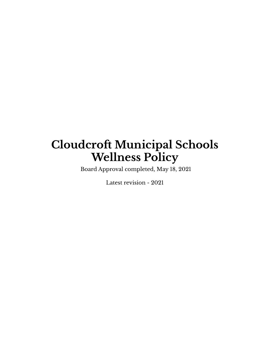# **Cloudcroft Municipal Schools Wellness Policy**

Board Approval completed, May 18, 2021

Latest revision - 2021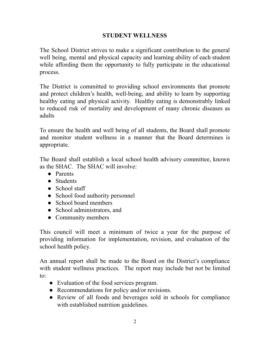#### **STUDENT WELLNESS**

The School District strives to make a significant contribution to the general well being, mental and physical capacity and learning ability of each student while affording them the opportunity to fully participate in the educational process.

The District is committed to providing school environments that promote and protect children's health, well-being, and ability to learn by supporting healthy eating and physical activity. Healthy eating is demonstrably linked to reduced risk of mortality and development of many chronic diseases as adults

To ensure the health and well being of all students, the Board shall promote and monitor student wellness in a manner that the Board determines is appropriate.

The Board shall establish a local school health advisory committee, known as the SHAC. The SHAC will involve:

- Parents
- Students
- School staff
- School food authority personnel
- School board members
- School administrators, and
- Community members

This council will meet a minimum of twice a year for the purpose of providing information for implementation, revision, and evaluation of the school health policy.

An annual report shall be made to the Board on the District's compliance with student wellness practices. The report may include but not be limited to:

- Evaluation of the food services program.
- Recommendations for policy and/or revisions.
- Review of all foods and beverages sold in schools for compliance with established nutrition guidelines.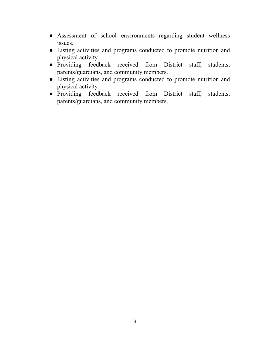- Assessment of school environments regarding student wellness issues.
- Listing activities and programs conducted to promote nutrition and physical activity.
- Providing feedback received from District staff, students, parents/guardians, and community members.
- Listing activities and programs conducted to promote nutrition and physical activity.
- Providing feedback received from District staff, students, parents/guardians, and community members.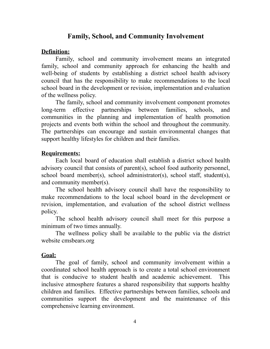#### **Family, School, and Community Involvement**

#### **Definition:**

Family, school and community involvement means an integrated family, school and community approach for enhancing the health and well-being of students by establishing a district school health advisory council that has the responsibility to make recommendations to the local school board in the development or revision, implementation and evaluation of the wellness policy.

The family, school and community involvement component promotes long-term effective partnerships between families, schools, and communities in the planning and implementation of health promotion projects and events both within the school and throughout the community. The partnerships can encourage and sustain environmental changes that support healthy lifestyles for children and their families.

#### **Requirements:**

Each local board of education shall establish a district school health advisory council that consists of parent(s), school food authority personnel, school board member(s), school administrator(s), school staff, student(s), and community member(s).

The school health advisory council shall have the responsibility to make recommendations to the local school board in the development or revision, implementation, and evaluation of the school district wellness policy.

The school health advisory council shall meet for this purpose a minimum of two times annually.

The wellness policy shall be available to the public via the district website cmsbears.org

#### **Goal:**

The goal of family, school and community involvement within a coordinated school health approach is to create a total school environment that is conducive to student health and academic achievement. This inclusive atmosphere features a shared responsibility that supports healthy children and families. Effective partnerships between families, schools and communities support the development and the maintenance of this comprehensive learning environment.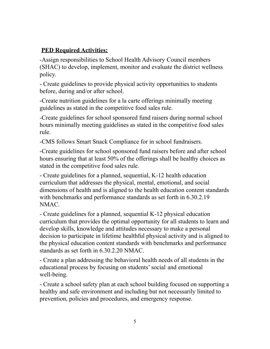#### **PED Required Activities:**

-Assign responsibilities to School Health Advisory Council members (SHAC) to develop, implement, monitor and evaluate the district wellness policy.

- Create guidelines to provide physical activity opportunities to students before, during and/or after school.

-Create nutrition guidelines for a la carte offerings minimally meeting guidelines as stated in the competitive food sales rule.

-Create guidelines for school sponsored fund raisers during normal school hours minimally meeting guidelines as stated in the competitive food sales rule.

-CMS follows Smart Snack Compliance for in school fundraisers.

-Create guidelines for school sponsored fund raisers before and after school hours ensuring that at least 50% of the offerings shall be healthy choices as stated in the competitive food sales rule.

- Create guidelines for a planned, sequential, K-12 health education curriculum that addresses the physical, mental, emotional, and social dimensions of health and is aligned to the health education content standards with benchmarks and performance standards as set forth in 6.30.2.19 NMAC.

- Create guidelines for a planned, sequential K-12 physical education curriculum that provides the optimal opportunity for all students to learn and develop skills, knowledge and attitudes necessary to make a personal decision to participate in lifetime healthful physical activity and is aligned to the physical education content standards with benchmarks and performance standards as set forth in 6.30.2.20 NMAC.

- Create a plan addressing the behavioral health needs of all students in the educational process by focusing on students'social and emotional well-being.

- Create a school safety plan at each school building focused on supporting a healthy and safe environment and including but not necessarily limited to prevention, policies and procedures, and emergency response.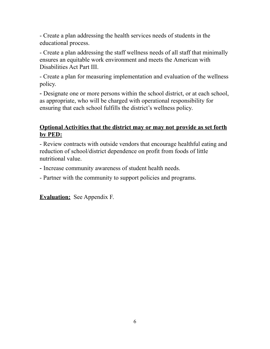- Create a plan addressing the health services needs of students in the educational process.

- Create a plan addressing the staff wellness needs of all staff that minimally ensures an equitable work environment and meets the American with Disabilities Act Part III.

- Create a plan for measuring implementation and evaluation of the wellness policy.

- Designate one or more persons within the school district, or at each school, as appropriate, who will be charged with operational responsibility for ensuring that each school fulfills the district's wellness policy.

#### **Optional Activities that the district may or may not provide as set forth by PED:**

- Review contracts with outside vendors that encourage healthful eating and reduction of school/district dependence on profit from foods of little nutritional value.

- Increase community awareness of student health needs.

- Partner with the community to support policies and programs.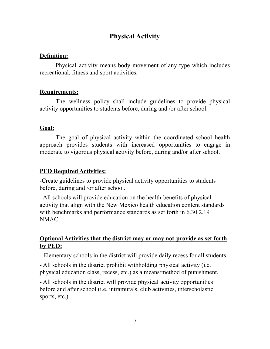# **Physical Activity**

#### **Definition:**

Physical activity means body movement of any type which includes recreational, fitness and sport activities.

#### **Requirements:**

The wellness policy shall include guidelines to provide physical activity opportunities to students before, during and /or after school.

#### **Goal:**

The goal of physical activity within the coordinated school health approach provides students with increased opportunities to engage in moderate to vigorous physical activity before, during and/or after school.

#### **PED Required Activities:**

-Create guidelines to provide physical activity opportunities to students before, during and /or after school.

- All schools will provide education on the health benefits of physical activity that align with the New Mexico health education content standards with benchmarks and performance standards as set forth in 6.30.2.19 NMAC.

#### **Optional Activities that the district may or may not provide as set forth by PED:**

- Elementary schools in the district will provide daily recess for all students.

- All schools in the district prohibit withholding physical activity (i.e. physical education class, recess, etc.) as a means/method of punishment.

- All schools in the district will provide physical activity opportunities before and after school (i.e. intramurals, club activities, interscholastic sports, etc.).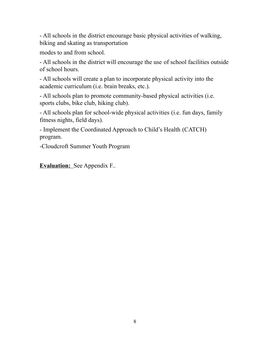- All schools in the district encourage basic physical activities of walking, biking and skating as transportation

modes to and from school.

- All schools in the district will encourage the use of school facilities outside of school hours.

- All schools will create a plan to incorporate physical activity into the academic curriculum (i.e. brain breaks, etc.).

- All schools plan to promote community-based physical activities (i.e. sports clubs, bike club, hiking club).

- All schools plan for school-wide physical activities (i.e. fun days, family fitness nights, field days).

- Implement the Coordinated Approach to Child's Health (CATCH) program.

-Cloudcroft Summer Youth Program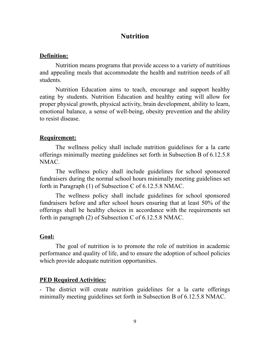#### **Nutrition**

#### **Definition:**

Nutrition means programs that provide access to a variety of nutritious and appealing meals that accommodate the health and nutrition needs of all students.

Nutrition Education aims to teach, encourage and support healthy eating by students. Nutrition Education and healthy eating will allow for proper physical growth, physical activity, brain development, ability to learn, emotional balance, a sense of well-being, obesity prevention and the ability to resist disease.

#### **Requirement:**

The wellness policy shall include nutrition guidelines for a la carte offerings minimally meeting guidelines set forth in Subsection B of 6.12.5.8 NMAC.

The wellness policy shall include guidelines for school sponsored fundraisers during the normal school hours minimally meeting guidelines set forth in Paragraph (1) of Subsection C of 6.12.5.8 NMAC.

The wellness policy shall include guidelines for school sponsored fundraisers before and after school hours ensuring that at least 50% of the offerings shall be healthy choices in accordance with the requirements set forth in paragraph (2) of Subsection C of 6.12.5.8 NMAC.

#### **Goal:**

The goal of nutrition is to promote the role of nutrition in academic performance and quality of life, and to ensure the adoption of school policies which provide adequate nutrition opportunities.

#### **PED Required Activities:**

- The district will create nutrition guidelines for a la carte offerings minimally meeting guidelines set forth in Subsection B of 6.12.5.8 NMAC.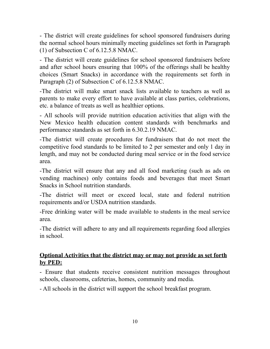- The district will create guidelines for school sponsored fundraisers during the normal school hours minimally meeting guidelines set forth in Paragraph (1) of Subsection C of 6.12.5.8 NMAC.

- The district will create guidelines for school sponsored fundraisers before and after school hours ensuring that 100% of the offerings shall be healthy choices (Smart Snacks) in accordance with the requirements set forth in Paragraph (2) of Subsection C of 6.12.5.8 NMAC.

-The district will make smart snack lists available to teachers as well as parents to make every effort to have available at class parties, celebrations, etc. a balance of treats as well as healthier options.

- All schools will provide nutrition education activities that align with the New Mexico health education content standards with benchmarks and performance standards as set forth in 6.30.2.19 NMAC.

-The district will create procedures for fundraisers that do not meet the competitive food standards to be limited to 2 per semester and only 1 day in length, and may not be conducted during meal service or in the food service area.

-The district will ensure that any and all food marketing (such as ads on vending machines) only contains foods and beverages that meet Smart Snacks in School nutrition standards.

-The district will meet or exceed local, state and federal nutrition requirements and/or USDA nutrition standards.

-Free drinking water will be made available to students in the meal service area.

-The district will adhere to any and all requirements regarding food allergies in school.

#### **Optional Activities that the district may or may not provide as set forth by PED:**

- Ensure that students receive consistent nutrition messages throughout schools, classrooms, cafeterias, homes, community and media.

- All schools in the district will support the school breakfast program.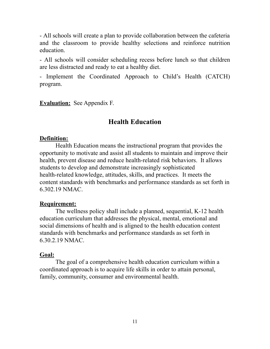- All schools will create a plan to provide collaboration between the cafeteria and the classroom to provide healthy selections and reinforce nutrition education.

- All schools will consider scheduling recess before lunch so that children are less distracted and ready to eat a healthy diet.

- Implement the Coordinated Approach to Child's Health (CATCH) program.

**Evaluation:** See Appendix F.

#### **Health Education**

#### **Definition:**

Health Education means the instructional program that provides the opportunity to motivate and assist all students to maintain and improve their health, prevent disease and reduce health-related risk behaviors. It allows students to develop and demonstrate increasingly sophisticated health-related knowledge, attitudes, skills, and practices. It meets the content standards with benchmarks and performance standards as set forth in 6.302.19 NMAC.

#### **Requirement:**

The wellness policy shall include a planned, sequential, K-12 health education curriculum that addresses the physical, mental, emotional and social dimensions of health and is aligned to the health education content standards with benchmarks and performance standards as set forth in 6.30.2.19 NMAC.

#### **Goal:**

The goal of a comprehensive health education curriculum within a coordinated approach is to acquire life skills in order to attain personal, family, community, consumer and environmental health.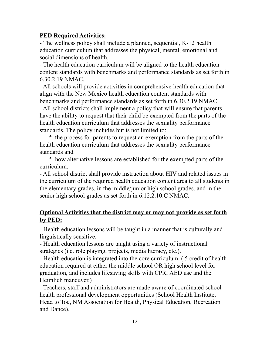#### **PED Required Activities:**

- The wellness policy shall include a planned, sequential, K-12 health education curriculum that addresses the physical, mental, emotional and social dimensions of health.

- The health education curriculum will be aligned to the health education content standards with benchmarks and performance standards as set forth in 6.30.2.19 NMAC.

- All schools will provide activities in comprehensive health education that align with the New Mexico health education content standards with benchmarks and performance standards as set forth in 6.30.2.19 NMAC. - All school districts shall implement a policy that will ensure that parents have the ability to request that their child be exempted from the parts of the health education curriculum that addresses the sexuality performance standards. The policy includes but is not limited to:

**\*** the process for parents to request an exemption from the parts of the health education curriculum that addresses the sexuality performance standards and

**\*** how alternative lessons are established for the exempted parts of the curriculum.

- All school district shall provide instruction about HIV and related issues in the curriculum of the required health education content area to all students in the elementary grades, in the middle/junior high school grades, and in the senior high school grades as set forth in 6.12.2.10.C NMAC.

#### **Optional Activities that the district may or may not provide as set forth by PED:**

- Health education lessons will be taught in a manner that is culturally and linguistically sensitive.

- Health education lessons are taught using a variety of instructional strategies (i.e. role playing, projects, media literacy, etc.).

- Health education is integrated into the core curriculum. (.5 credit of health education required at either the middle school OR high school level for graduation, and includes lifesaving skills with CPR, AED use and the Heimlich maneuver.)

- Teachers, staff and administrators are made aware of coordinated school health professional development opportunities (School Health Institute, Head to Toe, NM Association for Health, Physical Education, Recreation and Dance).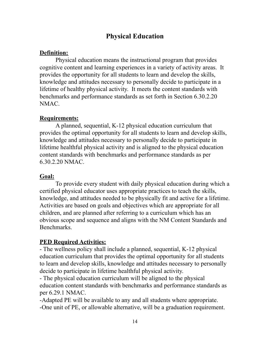# **Physical Education**

### **Definition:**

Physical education means the instructional program that provides cognitive content and learning experiences in a variety of activity areas. It provides the opportunity for all students to learn and develop the skills, knowledge and attitudes necessary to personally decide to participate in a lifetime of healthy physical activity. It meets the content standards with benchmarks and performance standards as set forth in Section 6.30.2.20 NMAC.

### **Requirements:**

A planned, sequential, K-12 physical education curriculum that provides the optimal opportunity for all students to learn and develop skills, knowledge and attitudes necessary to personally decide to participate in lifetime healthful physical activity and is aligned to the physical education content standards with benchmarks and performance standards as per 6.30.2.20 NMAC.

#### **Goal:**

To provide every student with daily physical education during which a certified physical educator uses appropriate practices to teach the skills, knowledge, and attitudes needed to be physically fit and active for a lifetime. Activities are based on goals and objectives which are appropriate for all children, and are planned after referring to a curriculum which has an obvious scope and sequence and aligns with the NM Content Standards and Benchmarks.

### **PED Required Activities:**

- The wellness policy shall include a planned, sequential, K-12 physical education curriculum that provides the optimal opportunity for all students to learn and develop skills, knowledge and attitudes necessary to personally decide to participate in lifetime healthful physical activity.

- The physical education curriculum will be aligned to the physical education content standards with benchmarks and performance standards as per 6.29.1 NMAC.

-Adapted PE will be available to any and all students where appropriate. -One unit of PE, or allowable alternative, will be a graduation requirement.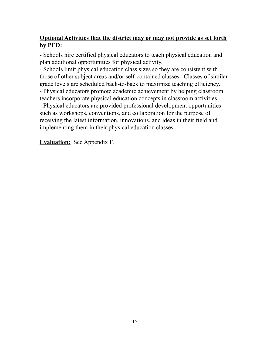#### **Optional Activities that the district may or may not provide as set forth by PED:**

- Schools hire certified physical educators to teach physical education and plan additional opportunities for physical activity.

- Schools limit physical education class sizes so they are consistent with those of other subject areas and/or self-contained classes. Classes of similar grade levels are scheduled back-to-back to maximize teaching efficiency.

- Physical educators promote academic achievement by helping classroom teachers incorporate physical education concepts in classroom activities.

- Physical educators are provided professional development opportunities such as workshops, conventions, and collaboration for the purpose of receiving the latest information, innovations, and ideas in their field and implementing them in their physical education classes.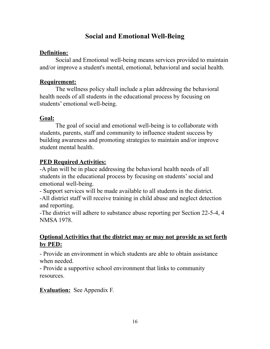# **Social and Emotional Well-Being**

### **Definition:**

Social and Emotional well-being means services provided to maintain and/or improve a student's mental, emotional, behavioral and social health.

### **Requirement:**

The wellness policy shall include a plan addressing the behavioral health needs of all students in the educational process by focusing on students' emotional well-being.

### **Goal:**

The goal of social and emotional well-being is to collaborate with students, parents, staff and community to influence student success by building awareness and promoting strategies to maintain and/or improve student mental health.

### **PED Required Activities:**

-A plan will be in place addressing the behavioral health needs of all students in the educational process by focusing on students' social and emotional well-being.

- Support services will be made available to all students in the district. -All district staff will receive training in child abuse and neglect detection and reporting.

-The district will adhere to substance abuse reporting per Section 22-5-4, 4 NMSA 1978.

#### **Optional Activities that the district may or may not provide as set forth by PED:**

- Provide an environment in which students are able to obtain assistance when needed.

- Provide a supportive school environment that links to community resources.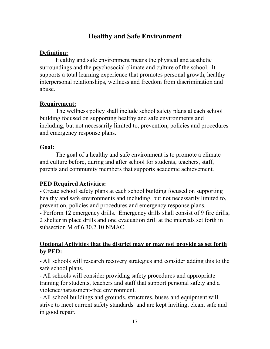# **Healthy and Safe Environment**

#### **Definition:**

Healthy and safe environment means the physical and aesthetic surroundings and the psychosocial climate and culture of the school. It supports a total learning experience that promotes personal growth, healthy interpersonal relationships, wellness and freedom from discrimination and abuse.

#### **Requirement:**

The wellness policy shall include school safety plans at each school building focused on supporting healthy and safe environments and including, but not necessarily limited to, prevention, policies and procedures and emergency response plans.

#### **Goal:**

The goal of a healthy and safe environment is to promote a climate and culture before, during and after school for students, teachers, staff, parents and community members that supports academic achievement.

### **PED Required Activities:**

- Create school safety plans at each school building focused on supporting healthy and safe environments and including, but not necessarily limited to, prevention, policies and procedures and emergency response plans. - Perform 12 emergency drills. Emergency drills shall consist of 9 fire drills, 2 shelter in place drills and one evacuation drill at the intervals set forth in subsection M of 6.30.2.10 NMAC.

#### **Optional Activities that the district may or may not provide as set forth by PED:**

- All schools will research recovery strategies and consider adding this to the safe school plans.

- All schools will consider providing safety procedures and appropriate training for students, teachers and staff that support personal safety and a violence/harassment-free environment.

- All school buildings and grounds, structures, buses and equipment will strive to meet current safety standards and are kept inviting, clean, safe and in good repair.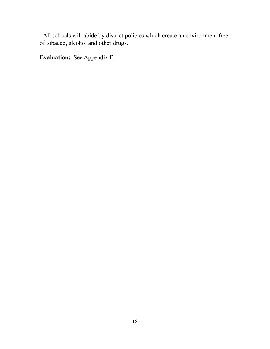- All schools will abide by district policies which create an environment free of tobacco, alcohol and other drugs.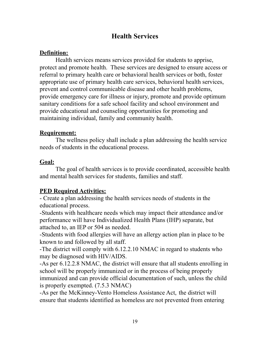# **Health Services**

### **Definition:**

Health services means services provided for students to apprise, protect and promote health. These services are designed to ensure access or referral to primary health care or behavioral health services or both, foster appropriate use of primary health care services, behavioral health services, prevent and control communicable disease and other health problems, provide emergency care for illness or injury, promote and provide optimum sanitary conditions for a safe school facility and school environment and provide educational and counseling opportunities for promoting and maintaining individual, family and community health.

### **Requirement:**

The wellness policy shall include a plan addressing the health service needs of students in the educational process.

### **Goal:**

The goal of health services is to provide coordinated, accessible health and mental health services for students, families and staff.

### **PED Required Activities:**

- Create a plan addressing the health services needs of students in the educational process.

-Students with healthcare needs which may impact their attendance and/or performance will have Individualized Health Plans (IHP) separate, but attached to, an IEP or 504 as needed.

-Students with food allergies will have an allergy action plan in place to be known to and followed by all staff.

-The district will comply with 6.12.2.10 NMAC in regard to students who may be diagnosed with HIV/AIDS.

-As per 6.12.2.8 NMAC, the district will ensure that all students enrolling in school will be properly immunized or in the process of being properly immunized and can provide official documentation of such, unless the child is properly exempted. (7.5.3 NMAC)

-As per the McKinney-Vento Homeless Assistance Act, the district will ensure that students identified as homeless are not prevented from entering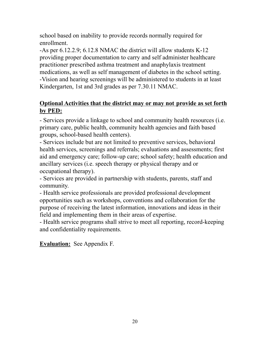school based on inability to provide records normally required for enrollment.

-As per 6.12.2.9; 6.12.8 NMAC the district will allow students K-12 providing proper documentation to carry and self administer healthcare practitioner prescribed asthma treatment and anaphylaxis treatment medications, as well as self management of diabetes in the school setting. -Vision and hearing screenings will be administered to students in at least Kindergarten, 1st and 3rd grades as per 7.30.11 NMAC.

#### **Optional Activities that the district may or may not provide as set forth by PED:**

- Services provide a linkage to school and community health resources (i.e. primary care, public health, community health agencies and faith based groups, school-based health centers).

- Services include but are not limited to preventive services, behavioral health services, screenings and referrals; evaluations and assessments; first aid and emergency care; follow-up care; school safety; health education and ancillary services (i.e. speech therapy or physical therapy and or occupational therapy).

- Services are provided in partnership with students, parents, staff and community.

- Health service professionals are provided professional development opportunities such as workshops, conventions and collaboration for the purpose of receiving the latest information, innovations and ideas in their field and implementing them in their areas of expertise.

- Health service programs shall strive to meet all reporting, record-keeping and confidentiality requirements.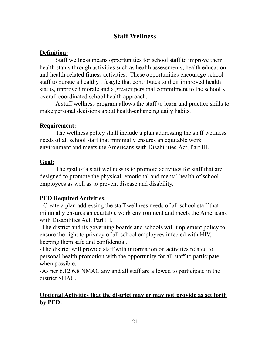# **Staff Wellness**

### **Definition:**

Staff wellness means opportunities for school staff to improve their health status through activities such as health assessments, health education and health-related fitness activities. These opportunities encourage school staff to pursue a healthy lifestyle that contributes to their improved health status, improved morale and a greater personal commitment to the school's overall coordinated school health approach.

A staff wellness program allows the staff to learn and practice skills to make personal decisions about health-enhancing daily habits.

### **Requirement:**

The wellness policy shall include a plan addressing the staff wellness needs of all school staff that minimally ensures an equitable work environment and meets the Americans with Disabilities Act, Part III.

### **Goal:**

The goal of a staff wellness is to promote activities for staff that are designed to promote the physical, emotional and mental health of school employees as well as to prevent disease and disability.

# **PED Required Activities:**

- Create a plan addressing the staff wellness needs of all school staff that minimally ensures an equitable work environment and meets the Americans with Disabilities Act, Part III.

-The district and its governing boards and schools will implement policy to ensure the right to privacy of all school employees infected with HIV, keeping them safe and confidential.

-The district will provide staff with information on activities related to personal health promotion with the opportunity for all staff to participate when possible.

-As per 6.12.6.8 NMAC any and all staff are allowed to participate in the district SHAC.

### **Optional Activities that the district may or may not provide as set forth by PED:**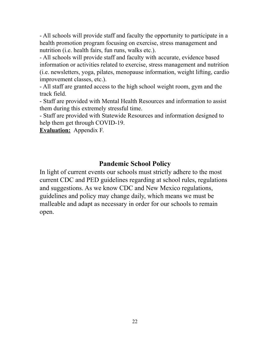- All schools will provide staff and faculty the opportunity to participate in a health promotion program focusing on exercise, stress management and nutrition (i.e. health fairs, fun runs, walks etc.).

- All schools will provide staff and faculty with accurate, evidence based information or activities related to exercise, stress management and nutrition (i.e. newsletters, yoga, pilates, menopause information, weight lifting, cardio improvement classes, etc.).

- All staff are granted access to the high school weight room, gym and the track field.

- Staff are provided with Mental Health Resources and information to assist them during this extremely stressful time.

- Staff are provided with Statewide Resources and information designed to help them get through COVID-19.

**Evaluation:** Appendix F.

#### **Pandemic School Policy**

In light of current events our schools must strictly adhere to the most current CDC and PED guidelines regarding at school rules, regulations and suggestions. As we know CDC and New Mexico regulations, guidelines and policy may change daily, which means we must be malleable and adapt as necessary in order for our schools to remain open.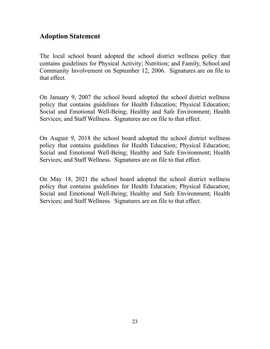### **Adoption Statement**

The local school board adopted the school district wellness policy that contains guidelines for Physical Activity; Nutrition; and Family, School and Community Involvement on September 12, 2006. Signatures are on file to that effect.

On January 9, 2007 the school board adopted the school district wellness policy that contains guidelines for Health Education; Physical Education; Social and Emotional Well-Being; Healthy and Safe Environment; Health Services; and Staff Wellness. Signatures are on file to that effect.

On August 9, 2018 the school board adopted the school district wellness policy that contains guidelines for Health Education; Physical Education; Social and Emotional Well-Being; Healthy and Safe Environment; Health Services; and Staff Wellness. Signatures are on file to that effect.

On May 18, 2021 the school board adopted the school district wellness policy that contains guidelines for Health Education; Physical Education; Social and Emotional Well-Being; Healthy and Safe Environment; Health Services; and Staff Wellness. Signatures are on file to that effect.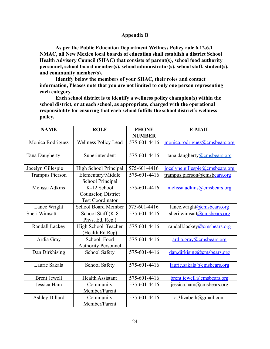#### **Appendix B**

**As per the Public Education Department Wellness Policy rule 6.12.6.1 NMAC, all New Mexico local boards of education shall establish a district School Health Advisory Council (SHAC) that consists of parent(s), school food authority personnel, school board member(s), school administrator(s), school staff, student(s), and community member(s).**

**Identify below the members of your SHAC, their roles and contact information, Pleases note that you are not limited to only one person representing each category.**

**Each school district is to identify a wellness policy champion(s) within the school district, or at each school, as appropriate, charged with the operational responsibility for ensuring that each school fulfills the school district's wellness policy.**

| <b>NAME</b>            | <b>ROLE</b>                                                   | <b>PHONE</b><br><b>NUMBER</b> | <b>E-MAIL</b>                     |
|------------------------|---------------------------------------------------------------|-------------------------------|-----------------------------------|
| Monica Rodriguez       | Wellness Policy Lead                                          | 575-601-4416                  | monica.rodriguez@cmsbears.org     |
| <b>Tana Daugherty</b>  | Superintendent                                                | 575-601-4416                  | tana.daugherty@cmsbears.org       |
| Jocelyn Gillespie      | High School Principal                                         | 575-601-4416                  | jocelyne, gillespie@cm shears.org |
| <b>Trampus Pierson</b> | Elementary/Middle<br>School Principal                         | 575-601-4416                  | trampus.pierson@cmsbears.org      |
| <b>Melissa Adkins</b>  | K-12 School<br>Counselor, District<br><b>Test Coordinator</b> | 575-601-4416                  | melissa.adkins@cmsbears.org       |
| Lance Wright           | <b>School Board Member</b>                                    | 575-601-4416                  | lance.wright@cmsbears.org         |
| Sheri Wimsatt          | School Staff (K-8<br>Phys. Ed. Rep.)                          | 575-601-4416                  | sheri.wimsatt@cmsbears.org        |
| Randall Lackey         | High School Teacher<br>(Health Ed Rep)                        | 575-601-4416                  | randall.lackey@cmsbears.org       |
| Ardia Gray             | School Food<br><b>Authority Personnel</b>                     | 575-601-4416                  | ardia.gray@cmsbears.org           |
| Dan Dirkhising         | School Safety                                                 | 575-601-4416                  | dan.dirkising@cm shears.org       |
| Laurie Sakala          | School Safety                                                 | 575-601-4416                  | laurie.sakala@cmsbears.org        |
| <b>Brent Jewell</b>    | <b>Health Assistant</b>                                       | 575-601-4416                  | $brent.$ jewell@cmsbears.org      |
| Jessica Ham            | Community<br>Member/Parent                                    | 575-601-4416                  | jessica.ham@cmsbears.org          |
| <b>Ashley Dillard</b>  | Community<br>Member/Parent                                    | 575-601-4416                  | a.3lizabeth@gmail.com             |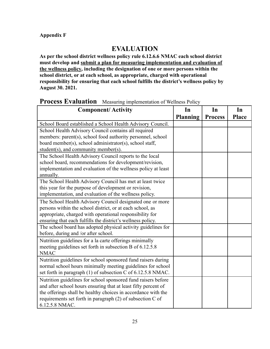#### **Appendix F**

#### **EVALUATION**

**As per the school district wellness policy rule 6.12.6.6 NMAC each school district must develop and submit a plan for measuring implementation and evaluation of the wellness policy, including the designation of one or more persons within the school district, or at each school, as appropriate, charged with operational responsibility for ensuring that each school fulfills the district's wellness policy by August 30. 2021.**

#### **Process Evaluation** Measuring implementation of Wellness Policy

| <b>Component/Activity</b>                                                  | In              | In             | In           |
|----------------------------------------------------------------------------|-----------------|----------------|--------------|
|                                                                            | <b>Planning</b> | <b>Process</b> | <b>Place</b> |
| School Board established a School Health Advisory Council.                 |                 |                |              |
| School Health Advisory Council contains all required                       |                 |                |              |
| members: parent(s), school food authority personnel, school                |                 |                |              |
| board member(s), school administrator(s), school staff,                    |                 |                |              |
| student(s), and community member(s).                                       |                 |                |              |
| The School Health Advisory Council reports to the local                    |                 |                |              |
| school board, recommendations for development/revision,                    |                 |                |              |
| implementation and evaluation of the wellness policy at least<br>annually. |                 |                |              |
| The School Health Advisory Council has met at least twice                  |                 |                |              |
| this year for the purpose of development or revision,                      |                 |                |              |
| implementation, and evaluation of the wellness policy.                     |                 |                |              |
| The School Health Advisory Council designated one or more                  |                 |                |              |
| persons within the school district, or at each school, as                  |                 |                |              |
| appropriate, charged with operational responsibility for                   |                 |                |              |
| ensuring that each fulfills the district's wellness policy.                |                 |                |              |
| The school board has adopted physical activity guidelines for              |                 |                |              |
| before, during and /or after school.                                       |                 |                |              |
| Nutrition guidelines for a la carte offerings minimally                    |                 |                |              |
| meeting guidelines set forth in subsection B of 6.12.5.8                   |                 |                |              |
| <b>NMAC</b>                                                                |                 |                |              |
| Nutrition guidelines for school sponsored fund raisers during              |                 |                |              |
| normal school hours minimally meeting guidelines for school                |                 |                |              |
| set forth in paragraph (1) of subsection C of 6.12.5.8 NMAC.               |                 |                |              |
| Nutrition guidelines for school sponsored fund raisers before              |                 |                |              |
| and after school hours ensuring that at least fifty percent of             |                 |                |              |
| the offerings shall be healthy choices in accordance with the              |                 |                |              |
| requirements set forth in paragraph (2) of subsection C of                 |                 |                |              |
| 6.12.5.8 NMAC.                                                             |                 |                |              |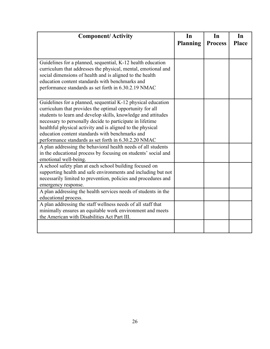| <b>Component/Activity</b>                                                                                                                                                                                                                                                                                                                                                                                                       | In<br><b>Planning</b> | In<br><b>Process</b> | In<br><b>Place</b> |
|---------------------------------------------------------------------------------------------------------------------------------------------------------------------------------------------------------------------------------------------------------------------------------------------------------------------------------------------------------------------------------------------------------------------------------|-----------------------|----------------------|--------------------|
|                                                                                                                                                                                                                                                                                                                                                                                                                                 |                       |                      |                    |
| Guidelines for a planned, sequential, K-12 health education<br>curriculum that addresses the physical, mental, emotional and<br>social dimensions of health and is aligned to the health<br>education content standards with benchmarks and<br>performance standards as set forth in 6.30.2.19 NMAC                                                                                                                             |                       |                      |                    |
| Guidelines for a planned, sequential K-12 physical education<br>curriculum that provides the optimal opportunity for all<br>students to learn and develop skills, knowledge and attitudes<br>necessary to personally decide to participate in lifetime<br>healthful physical activity and is aligned to the physical<br>education content standards with benchmarks and<br>performance standards as set forth in 6.30.2.20 NMAC |                       |                      |                    |
| A plan addressing the behavioral health needs of all students<br>in the educational process by focusing on students' social and<br>emotional well-being.                                                                                                                                                                                                                                                                        |                       |                      |                    |
| A school safety plan at each school building focused on<br>supporting health and safe environments and including but not<br>necessarily limited to prevention, policies and procedures and<br>emergency response.                                                                                                                                                                                                               |                       |                      |                    |
| A plan addressing the health services needs of students in the<br>educational process.                                                                                                                                                                                                                                                                                                                                          |                       |                      |                    |
| A plan addressing the staff wellness needs of all staff that<br>minimally ensures an equitable work environment and meets<br>the American with Disabilities Act Part III.                                                                                                                                                                                                                                                       |                       |                      |                    |
|                                                                                                                                                                                                                                                                                                                                                                                                                                 |                       |                      |                    |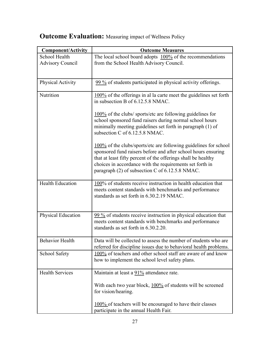| <b>Component/Activity</b> | <b>Outcome Measures</b>                                                                                                                                                                                                                                                                                           |
|---------------------------|-------------------------------------------------------------------------------------------------------------------------------------------------------------------------------------------------------------------------------------------------------------------------------------------------------------------|
| School Health             | The local school board adopts $100\%$ of the recommendations                                                                                                                                                                                                                                                      |
| <b>Advisory Council</b>   | from the School Health Advisory Council.                                                                                                                                                                                                                                                                          |
| Physical Activity         | 99 % of students participated in physical activity offerings.                                                                                                                                                                                                                                                     |
| Nutrition                 | 100% of the offerings in al la carte meet the guidelines set forth<br>in subsection B of 6.12.5.8 NMAC.                                                                                                                                                                                                           |
|                           | $100\%$ of the clubs/ sports/etc are following guidelines for<br>school sponsored fund raisers during normal school hours<br>minimally meeting guidelines set forth in paragraph (1) of<br>subsection C of 6.12.5.8 NMAC.                                                                                         |
|                           | 100% of the clubs/sports/etc are following guidelines for school<br>sponsored fund raisers before and after school hours ensuring<br>that at least fifty percent of the offerings shall be healthy<br>choices in accordance with the requirements set forth in<br>paragraph (2) of subsection C of 6.12.5.8 NMAC. |
| <b>Health Education</b>   | 100% of students receive instruction in health education that<br>meets content standards with benchmarks and performance<br>standards as set forth in 6.30.2.19 NMAC.                                                                                                                                             |
| Physical Education        | 99 % of students receive instruction in physical education that<br>meets content standards with benchmarks and performance<br>standards as set forth in 6.30.2.20.                                                                                                                                                |
| <b>Behavior Health</b>    | Data will be collected to assess the number of students who are<br>referred for discipline issues due to behavioral health problems.                                                                                                                                                                              |
| School Safety             | 100% of teachers and other school staff are aware of and know<br>how to implement the school level safety plans.                                                                                                                                                                                                  |
| <b>Health Services</b>    | Maintain at least a 91% attendance rate.                                                                                                                                                                                                                                                                          |
|                           | With each two year block, 100% of students will be screened<br>for vision/hearing.                                                                                                                                                                                                                                |
|                           | 100% of teachers will be encouraged to have their classes<br>participate in the annual Health Fair.                                                                                                                                                                                                               |

# **Outcome Evaluation:** Measuring impact of Wellness Policy